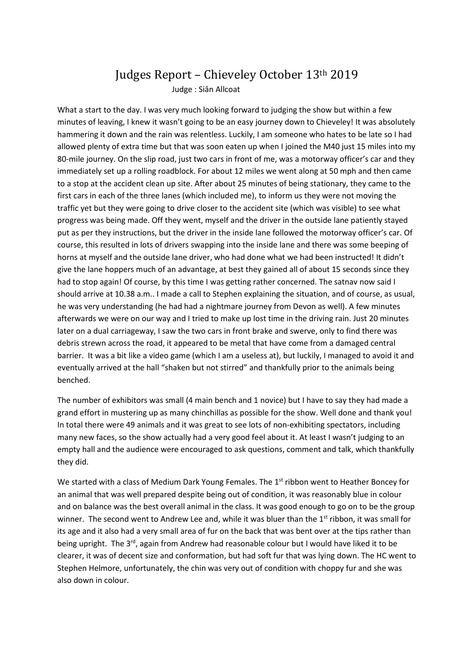## Judges Report – Chieveley October 13th 2019 Judge : Siân Allcoat

What a start to the day. I was very much looking forward to judging the show but within a few minutes of leaving, I knew it wasn't going to be an easy journey down to Chieveley! It was absolutely hammering it down and the rain was relentless. Luckily, I am someone who hates to be late so I had allowed plenty of extra time but that was soon eaten up when I joined the M40 just 15 miles into my 80-mile journey. On the slip road, just two cars in front of me, was a motorway officer's car and they immediately set up a rolling roadblock. For about 12 miles we went along at 50 mph and then came to a stop at the accident clean up site. After about 25 minutes of being stationary, they came to the first cars in each of the three lanes (which included me), to inform us they were not moving the traffic yet but they were going to drive closer to the accident site (which was visible) to see what progress was being made. Off they went, myself and the driver in the outside lane patiently stayed put as per they instructions, but the driver in the inside lane followed the motorway officer's car. Of course, this resulted in lots of drivers swapping into the inside lane and there was some beeping of horns at myself and the outside lane driver, who had done what we had been instructed! It didn't give the lane hoppers much of an advantage, at best they gained all of about 15 seconds since they had to stop again! Of course, by this time I was getting rather concerned. The satnav now said I should arrive at 10.38 a.m.. I made a call to Stephen explaining the situation, and of course, as usual, he was very understanding (he had had a nightmare journey from Devon as well). A few minutes afterwards we were on our way and I tried to make up lost time in the driving rain. Just 20 minutes later on a dual carriageway, I saw the two cars in front brake and swerve, only to find there was debris strewn across the road, it appeared to be metal that have come from a damaged central barrier. It was a bit like a video game (which I am a useless at), but luckily, I managed to avoid it and eventually arrived at the hall "shaken but not stirred" and thankfully prior to the animals being benched.

The number of exhibitors was small (4 main bench and 1 novice) but I have to say they had made a grand effort in mustering up as many chinchillas as possible for the show. Well done and thank you! In total there were 49 animals and it was great to see lots of non-exhibiting spectators, including many new faces, so the show actually had a very good feel about it. At least I wasn't judging to an empty hall and the audience were encouraged to ask questions, comment and talk, which thankfully they did.

We started with a class of Medium Dark Young Females. The 1<sup>st</sup> ribbon went to Heather Boncey for an animal that was well prepared despite being out of condition, it was reasonably blue in colour and on balance was the best overall animal in the class. It was good enough to go on to be the group winner. The second went to Andrew Lee and, while it was bluer than the 1<sup>st</sup> ribbon, it was small for its age and it also had a very small area of fur on the back that was bent over at the tips rather than being upright. The 3<sup>rd</sup>, again from Andrew had reasonable colour but I would have liked it to be clearer, it was of decent size and conformation, but had soft fur that was lying down. The HC went to Stephen Helmore, unfortunately, the chin was very out of condition with choppy fur and she was also down in colour.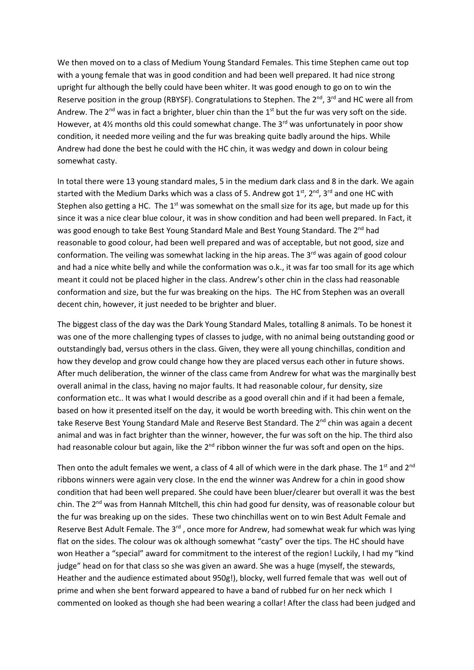We then moved on to a class of Medium Young Standard Females. This time Stephen came out top with a young female that was in good condition and had been well prepared. It had nice strong upright fur although the belly could have been whiter. It was good enough to go on to win the Reserve position in the group (RBYSF). Congratulations to Stephen. The 2<sup>nd</sup>, 3<sup>rd</sup> and HC were all from Andrew. The  $2^{nd}$  was in fact a brighter, bluer chin than the  $1<sup>st</sup>$  but the fur was very soft on the side. However, at 4½ months old this could somewhat change. The  $3<sup>rd</sup>$  was unfortunately in poor show condition, it needed more veiling and the fur was breaking quite badly around the hips. While Andrew had done the best he could with the HC chin, it was wedgy and down in colour being somewhat casty.

In total there were 13 young standard males, 5 in the medium dark class and 8 in the dark. We again started with the Medium Darks which was a class of 5. Andrew got  $1^{st}$ ,  $2^{nd}$ ,  $3^{rd}$  and one HC with Stephen also getting a HC. The  $1<sup>st</sup>$  was somewhat on the small size for its age, but made up for this since it was a nice clear blue colour, it was in show condition and had been well prepared. In Fact, it was good enough to take Best Young Standard Male and Best Young Standard. The 2<sup>nd</sup> had reasonable to good colour, had been well prepared and was of acceptable, but not good, size and conformation. The veiling was somewhat lacking in the hip areas. The  $3<sup>rd</sup>$  was again of good colour and had a nice white belly and while the conformation was o.k., it was far too small for its age which meant it could not be placed higher in the class. Andrew's other chin in the class had reasonable conformation and size, but the fur was breaking on the hips. The HC from Stephen was an overall decent chin, however, it just needed to be brighter and bluer.

The biggest class of the day was the Dark Young Standard Males, totalling 8 animals. To be honest it was one of the more challenging types of classes to judge, with no animal being outstanding good or outstandingly bad, versus others in the class. Given, they were all young chinchillas, condition and how they develop and grow could change how they are placed versus each other in future shows. After much deliberation, the winner of the class came from Andrew for what was the marginally best overall animal in the class, having no major faults. It had reasonable colour, fur density, size conformation etc.. It was what I would describe as a good overall chin and if it had been a female, based on how it presented itself on the day, it would be worth breeding with. This chin went on the take Reserve Best Young Standard Male and Reserve Best Standard. The 2<sup>nd</sup> chin was again a decent animal and was in fact brighter than the winner, however, the fur was soft on the hip. The third also had reasonable colour but again, like the  $2^{nd}$  ribbon winner the fur was soft and open on the hips.

Then onto the adult females we went, a class of 4 all of which were in the dark phase. The 1<sup>st</sup> and 2<sup>nd</sup> ribbons winners were again very close. In the end the winner was Andrew for a chin in good show condition that had been well prepared. She could have been bluer/clearer but overall it was the best chin. The 2<sup>nd</sup> was from Hannah MItchell, this chin had good fur density, was of reasonable colour but the fur was breaking up on the sides. These two chinchillas went on to win Best Adult Female and Reserve Best Adult Female. The 3<sup>rd</sup>, once more for Andrew, had somewhat weak fur which was lying flat on the sides. The colour was ok although somewhat "casty" over the tips. The HC should have won Heather a "special" award for commitment to the interest of the region! Luckily, I had my "kind judge" head on for that class so she was given an award. She was a huge (myself, the stewards, Heather and the audience estimated about 950g!), blocky, well furred female that was well out of prime and when she bent forward appeared to have a band of rubbed fur on her neck which I commented on looked as though she had been wearing a collar! After the class had been judged and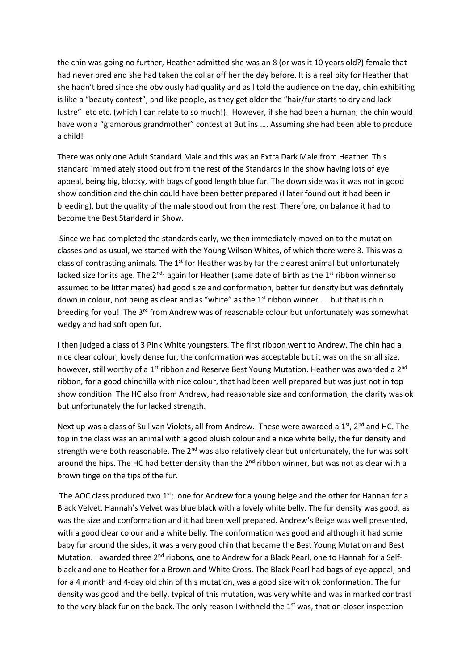the chin was going no further, Heather admitted she was an 8 (or was it 10 years old?) female that had never bred and she had taken the collar off her the day before. It is a real pity for Heather that she hadn't bred since she obviously had quality and as I told the audience on the day, chin exhibiting is like a "beauty contest", and like people, as they get older the "hair/fur starts to dry and lack lustre" etc etc. (which I can relate to so much!). However, if she had been a human, the chin would have won a "glamorous grandmother" contest at Butlins …. Assuming she had been able to produce a child!

There was only one Adult Standard Male and this was an Extra Dark Male from Heather. This standard immediately stood out from the rest of the Standards in the show having lots of eye appeal, being big, blocky, with bags of good length blue fur. The down side was it was not in good show condition and the chin could have been better prepared (I later found out it had been in breeding), but the quality of the male stood out from the rest. Therefore, on balance it had to become the Best Standard in Show.

Since we had completed the standards early, we then immediately moved on to the mutation classes and as usual, we started with the Young Wilson Whites, of which there were 3. This was a class of contrasting animals. The  $1<sup>st</sup>$  for Heather was by far the clearest animal but unfortunately lacked size for its age. The 2<sup>nd,</sup> again for Heather (same date of birth as the 1<sup>st</sup> ribbon winner so assumed to be litter mates) had good size and conformation, better fur density but was definitely down in colour, not being as clear and as "white" as the  $1<sup>st</sup>$  ribbon winner .... but that is chin breeding for you! The 3<sup>rd</sup> from Andrew was of reasonable colour but unfortunately was somewhat wedgy and had soft open fur.

I then judged a class of 3 Pink White youngsters. The first ribbon went to Andrew. The chin had a nice clear colour, lovely dense fur, the conformation was acceptable but it was on the small size, however, still worthy of a 1<sup>st</sup> ribbon and Reserve Best Young Mutation. Heather was awarded a 2<sup>nd</sup> ribbon, for a good chinchilla with nice colour, that had been well prepared but was just not in top show condition. The HC also from Andrew, had reasonable size and conformation, the clarity was ok but unfortunately the fur lacked strength.

Next up was a class of Sullivan Violets, all from Andrew. These were awarded a 1<sup>st</sup>, 2<sup>nd</sup> and HC. The top in the class was an animal with a good bluish colour and a nice white belly, the fur density and strength were both reasonable. The 2<sup>nd</sup> was also relatively clear but unfortunately, the fur was soft around the hips. The HC had better density than the 2<sup>nd</sup> ribbon winner, but was not as clear with a brown tinge on the tips of the fur.

The AOC class produced two  $1<sup>st</sup>$ ; one for Andrew for a young beige and the other for Hannah for a Black Velvet. Hannah's Velvet was blue black with a lovely white belly. The fur density was good, as was the size and conformation and it had been well prepared. Andrew's Beige was well presented, with a good clear colour and a white belly. The conformation was good and although it had some baby fur around the sides, it was a very good chin that became the Best Young Mutation and Best Mutation. I awarded three 2<sup>nd</sup> ribbons, one to Andrew for a Black Pearl, one to Hannah for a Selfblack and one to Heather for a Brown and White Cross. The Black Pearl had bags of eye appeal, and for a 4 month and 4-day old chin of this mutation, was a good size with ok conformation. The fur density was good and the belly, typical of this mutation, was very white and was in marked contrast to the very black fur on the back. The only reason I withheld the  $1<sup>st</sup>$  was, that on closer inspection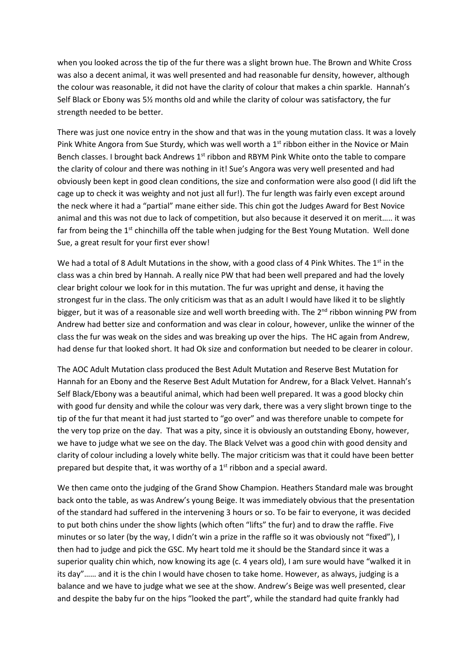when you looked across the tip of the fur there was a slight brown hue. The Brown and White Cross was also a decent animal, it was well presented and had reasonable fur density, however, although the colour was reasonable, it did not have the clarity of colour that makes a chin sparkle. Hannah's Self Black or Ebony was 5½ months old and while the clarity of colour was satisfactory, the fur strength needed to be better.

There was just one novice entry in the show and that was in the young mutation class. It was a lovely Pink White Angora from Sue Sturdy, which was well worth a  $1<sup>st</sup>$  ribbon either in the Novice or Main Bench classes. I brought back Andrews  $1<sup>st</sup>$  ribbon and RBYM Pink White onto the table to compare the clarity of colour and there was nothing in it! Sue's Angora was very well presented and had obviously been kept in good clean conditions, the size and conformation were also good (I did lift the cage up to check it was weighty and not just all fur!). The fur length was fairly even except around the neck where it had a "partial" mane either side. This chin got the Judges Award for Best Novice animal and this was not due to lack of competition, but also because it deserved it on merit….. it was far from being the  $1<sup>st</sup>$  chinchilla off the table when judging for the Best Young Mutation. Well done Sue, a great result for your first ever show!

We had a total of 8 Adult Mutations in the show, with a good class of 4 Pink Whites. The  $1^{st}$  in the class was a chin bred by Hannah. A really nice PW that had been well prepared and had the lovely clear bright colour we look for in this mutation. The fur was upright and dense, it having the strongest fur in the class. The only criticism was that as an adult I would have liked it to be slightly bigger, but it was of a reasonable size and well worth breeding with. The  $2<sup>nd</sup>$  ribbon winning PW from Andrew had better size and conformation and was clear in colour, however, unlike the winner of the class the fur was weak on the sides and was breaking up over the hips. The HC again from Andrew, had dense fur that looked short. It had Ok size and conformation but needed to be clearer in colour.

The AOC Adult Mutation class produced the Best Adult Mutation and Reserve Best Mutation for Hannah for an Ebony and the Reserve Best Adult Mutation for Andrew, for a Black Velvet. Hannah's Self Black/Ebony was a beautiful animal, which had been well prepared. It was a good blocky chin with good fur density and while the colour was very dark, there was a very slight brown tinge to the tip of the fur that meant it had just started to "go over" and was therefore unable to compete for the very top prize on the day. That was a pity, since it is obviously an outstanding Ebony, however, we have to judge what we see on the day. The Black Velvet was a good chin with good density and clarity of colour including a lovely white belly. The major criticism was that it could have been better prepared but despite that, it was worthy of a 1<sup>st</sup> ribbon and a special award.

We then came onto the judging of the Grand Show Champion. Heathers Standard male was brought back onto the table, as was Andrew's young Beige. It was immediately obvious that the presentation of the standard had suffered in the intervening 3 hours or so. To be fair to everyone, it was decided to put both chins under the show lights (which often "lifts" the fur) and to draw the raffle. Five minutes or so later (by the way, I didn't win a prize in the raffle so it was obviously not "fixed"), I then had to judge and pick the GSC. My heart told me it should be the Standard since it was a superior quality chin which, now knowing its age (c. 4 years old), I am sure would have "walked it in its day"…… and it is the chin I would have chosen to take home. However, as always, judging is a balance and we have to judge what we see at the show. Andrew's Beige was well presented, clear and despite the baby fur on the hips "looked the part", while the standard had quite frankly had